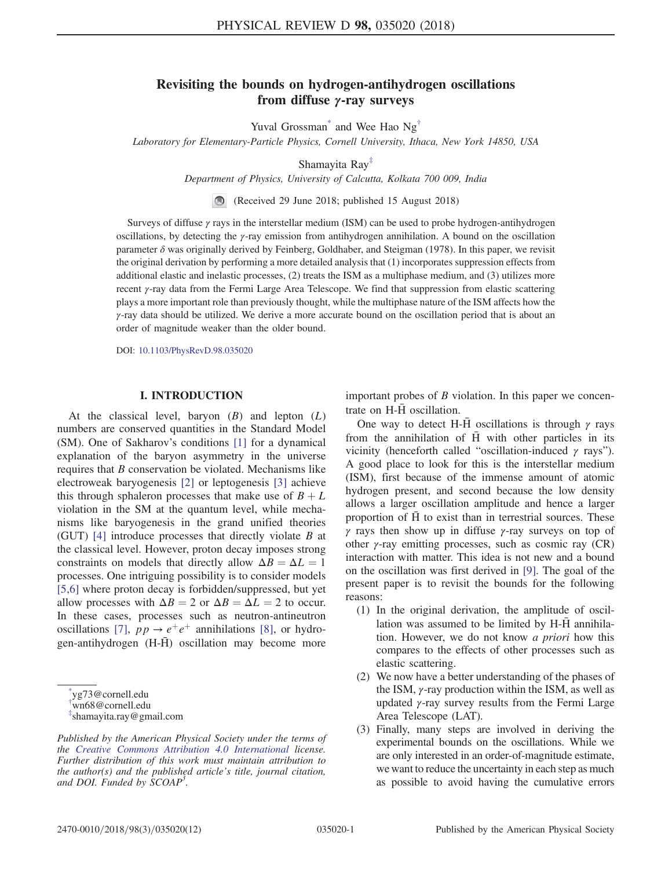# Revisiting the bounds on hydrogen-antihydrogen oscillations from diffuse γ-ray surveys

Yuval Grossman<sup>\*</sup> and Wee Hao  $Ng^{\dagger}$ 

<span id="page-0-4"></span><span id="page-0-3"></span>Laboratory for Elementary-Particle Physics, Cornell University, Ithaca, New York 14850, USA

Shamayita Ray[‡](#page-0-2)

Department of Physics, University of Calcutta, Kolkata 700 009, India

(Received 29 June 2018; published 15 August 2018)

Surveys of diffuse γ rays in the interstellar medium (ISM) can be used to probe hydrogen-antihydrogen oscillations, by detecting the γ-ray emission from antihydrogen annihilation. A bound on the oscillation parameter  $\delta$  was originally derived by Feinberg, Goldhaber, and Steigman (1978). In this paper, we revisit the original derivation by performing a more detailed analysis that (1) incorporates suppression effects from additional elastic and inelastic processes, (2) treats the ISM as a multiphase medium, and (3) utilizes more recent γ-ray data from the Fermi Large Area Telescope. We find that suppression from elastic scattering plays a more important role than previously thought, while the multiphase nature of the ISM affects how the γ-ray data should be utilized. We derive a more accurate bound on the oscillation period that is about an order of magnitude weaker than the older bound.

DOI: [10.1103/PhysRevD.98.035020](https://doi.org/10.1103/PhysRevD.98.035020)

### I. INTRODUCTION

At the classical level, baryon  $(B)$  and lepton  $(L)$ numbers are conserved quantities in the Standard Model (SM). One of Sakharov's conditions [\[1\]](#page-10-0) for a dynamical explanation of the baryon asymmetry in the universe requires that B conservation be violated. Mechanisms like electroweak baryogenesis [\[2\]](#page-10-1) or leptogenesis [\[3\]](#page-10-2) achieve this through sphaleron processes that make use of  $B + L$ violation in the SM at the quantum level, while mechanisms like baryogenesis in the grand unified theories (GUT) [\[4\]](#page-10-3) introduce processes that directly violate B at the classical level. However, proton decay imposes strong constraints on models that directly allow  $\Delta B = \Delta L = 1$ processes. One intriguing possibility is to consider models [\[5,6\]](#page-10-4) where proton decay is forbidden/suppressed, but yet allow processes with  $\Delta B = 2$  or  $\Delta B = \Delta L = 2$  to occur. In these cases, processes such as neutron-antineutron oscillations [\[7\]](#page-10-5),  $pp \rightarrow e^+e^+$  annihilations [\[8\]](#page-10-6), or hydrogen-antihydrogen  $(H-\tilde{H})$  oscillation may become more important probes of  $B$  violation. In this paper we concentrate on  $H-\bar{H}$  oscillation.

One way to detect H-H oscillations is through  $\gamma$  rays from the annihilation of  $\overline{H}$  with other particles in its vicinity (henceforth called "oscillation-induced  $\gamma$  rays"). A good place to look for this is the interstellar medium (ISM), first because of the immense amount of atomic hydrogen present, and second because the low density allows a larger oscillation amplitude and hence a larger proportion of  $\overline{H}$  to exist than in terrestrial sources. These  $γ$  rays then show up in diffuse  $γ$ -ray surveys on top of other  $\gamma$ -ray emitting processes, such as cosmic ray (CR) interaction with matter. This idea is not new and a bound on the oscillation was first derived in [\[9\].](#page-10-7) The goal of the present paper is to revisit the bounds for the following reasons:

- (1) In the original derivation, the amplitude of oscillation was assumed to be limited by  $H-\overline{H}$  annihilation. However, we do not know a priori how this compares to the effects of other processes such as elastic scattering.
- (2) We now have a better understanding of the phases of the ISM,  $\gamma$ -ray production within the ISM, as well as updated  $\gamma$ -ray survey results from the Fermi Large Area Telescope (LAT).
- (3) Finally, many steps are involved in deriving the experimental bounds on the oscillations. While we are only interested in an order-of-magnitude estimate, we want to reduce the uncertainty in each step as much as possible to avoid having the cumulative errors

<span id="page-0-0"></span>[<sup>\\*</sup>](#page-0-3) yg73@cornell.edu

<span id="page-0-1"></span>[<sup>†</sup>](#page-0-3) wn68@cornell.edu

<span id="page-0-2"></span>[<sup>‡</sup>](#page-0-4) shamayita.ray@gmail.com

Published by the American Physical Society under the terms of the [Creative Commons Attribution 4.0 International](https://creativecommons.org/licenses/by/4.0/) license. Further distribution of this work must maintain attribution to the author(s) and the published article's title, journal citation, and DOI. Funded by SCOAP<sup>3</sup>.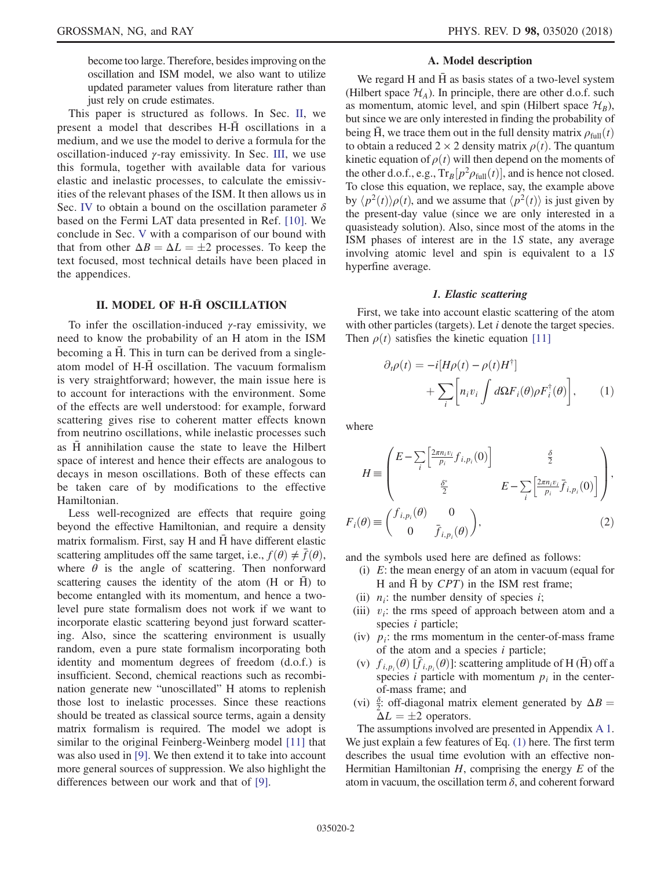become too large. Therefore, besides improving on the oscillation and ISM model, we also want to utilize updated parameter values from literature rather than just rely on crude estimates.

This paper is structured as follows. In Sec. [II,](#page-1-0) we present a model that describes  $H-\overline{H}$  oscillations in a medium, and we use the model to derive a formula for the oscillation-induced  $\gamma$ -ray emissivity. In Sec. [III,](#page-3-0) we use this formula, together with available data for various elastic and inelastic processes, to calculate the emissivities of the relevant phases of the ISM. It then allows us in Sec. [IV](#page-4-0) to obtain a bound on the oscillation parameter  $\delta$ based on the Fermi LAT data presented in Ref. [\[10\]](#page-10-8). We conclude in Sec. [V](#page-5-0) with a comparison of our bound with that from other  $\Delta B = \Delta L = \pm 2$  processes. To keep the text focused most technical details have been placed in text focused, most technical details have been placed in the appendices.

### II. MODEL OF H-H OSCILLATION

<span id="page-1-0"></span>To infer the oscillation-induced  $\gamma$ -ray emissivity, we need to know the probability of an H atom in the ISM becoming a  $\overline{H}$ . This in turn can be derived from a singleatom model of H-H oscillation. The vacuum formalism ¯ is very straightforward; however, the main issue here is to account for interactions with the environment. Some of the effects are well understood: for example, forward scattering gives rise to coherent matter effects known from neutrino oscillations, while inelastic processes such as  $\overline{H}$  annihilation cause the state to leave the Hilbert space of interest and hence their effects are analogous to decays in meson oscillations. Both of these effects can be taken care of by modifications to the effective Hamiltonian.

Less well-recognized are effects that require going beyond the effective Hamiltonian, and require a density matrix formalism. First, say H and H have different elastic ¯ scattering amplitudes off the same target, i.e.,  $f(\theta) \neq \overline{f}(\theta)$ , where  $\theta$  is the angle of scattering. Then nonforward scattering causes the identity of the atom  $(H \text{ or } H)$  to become entangled with its momentum, and hence a twolevel pure state formalism does not work if we want to incorporate elastic scattering beyond just forward scattering. Also, since the scattering environment is usually random, even a pure state formalism incorporating both identity and momentum degrees of freedom (d.o.f.) is insufficient. Second, chemical reactions such as recombination generate new "unoscillated" H atoms to replenish those lost to inelastic processes. Since these reactions should be treated as classical source terms, again a density matrix formalism is required. The model we adopt is similar to the original Feinberg-Weinberg model [\[11\]](#page-10-9) that was also used in [\[9\].](#page-10-7) We then extend it to take into account more general sources of suppression. We also highlight the differences between our work and that of [\[9\]](#page-10-7).

### A. Model description

<span id="page-1-2"></span>We regard H and  $\overline{H}$  as basis states of a two-level system (Hilbert space  $\mathcal{H}_A$ ). In principle, there are other d.o.f. such as momentum, atomic level, and spin (Hilbert space  $\mathcal{H}_B$ ), but since we are only interested in finding the probability of being H, we trace them out in the full density matrix  $\rho_{\text{full}}(t)$ to obtain a reduced  $2 \times 2$  density matrix  $\rho(t)$ . The quantum kinetic equation of  $\rho(t)$  will then depend on the moments of the other d.o.f., e.g.,  $Tr_B[p^2 \rho_{full}(t)]$ , and is hence not closed. To close this equation, we replace, say, the example above by  $\langle p^2(t) \rangle \rho(t)$ , and we assume that  $\langle p^2(t) \rangle$  is just given by the present-day value (since we are only interested in a quasisteady solution). Also, since most of the atoms in the ISM phases of interest are in the 1S state, any average involving atomic level and spin is equivalent to a 1S hyperfine average.

### 1. Elastic scattering

<span id="page-1-1"></span>First, we take into account elastic scattering of the atom with other particles (targets). Let  $i$  denote the target species. Then  $\rho(t)$  satisfies the kinetic equation [\[11\]](#page-10-9)

$$
\partial_t \rho(t) = -i[H\rho(t) - \rho(t)H^{\dagger}] + \sum_i \left[ n_i v_i \int d\Omega F_i(\theta) \rho F_i^{\dagger}(\theta) \right], \qquad (1)
$$

where

$$
H \equiv \begin{pmatrix} E - \sum_{i} \left[ \frac{2\pi n_i v_i}{p_i} f_{i, p_i}(0) \right] & \frac{\delta}{2} \\ \frac{\delta^*}{2} & E - \sum_{i} \left[ \frac{2\pi n_i v_i}{p_i} \overline{f}_{i, p_i}(0) \right] \end{pmatrix},
$$

$$
F_i(\theta) \equiv \begin{pmatrix} f_{i, p_i}(\theta) & 0 \\ 0 & \overline{f}_{i, p_i}(\theta) \end{pmatrix},
$$
(2)

and the symbols used here are defined as follows:

- (i) E: the mean energy of an atom in vacuum (equal for H and  $\overline{H}$  by  $CPT$ ) in the ISM rest frame;
- (ii)  $n_i$ : the number density of species *i*;
- (iii)  $v_i$ : the rms speed of approach between atom and a species *i* particle;
- (iv)  $p_i$ : the rms momentum in the center-of-mass frame of the atom and a species  $i$  particle;
- (v)  $f_{i,p_i}(\theta) [\bar{f}_{i,p_i}(\theta)]$ : scattering amplitude of H ( $\bar{H}$ ) off a species *i* particle with momentum *n*, in the centerspecies *i* particle with momentum  $p_i$  in the centerof-mass frame; and
- (vi)  $\frac{\delta}{2}$ : off-diagonal matrix element generated by  $\Delta B = \Delta I = +2$  operators  $\Delta L = \pm 2$  operators.<br>assumptions involved

The assumptions involved are presented in Appendix [A 1](#page-6-0). We just explain a few features of Eq. [\(1\)](#page-1-1) here. The first term describes the usual time evolution with an effective non-Hermitian Hamiltonian  $H$ , comprising the energy  $E$  of the atom in vacuum, the oscillation term  $\delta$ , and coherent forward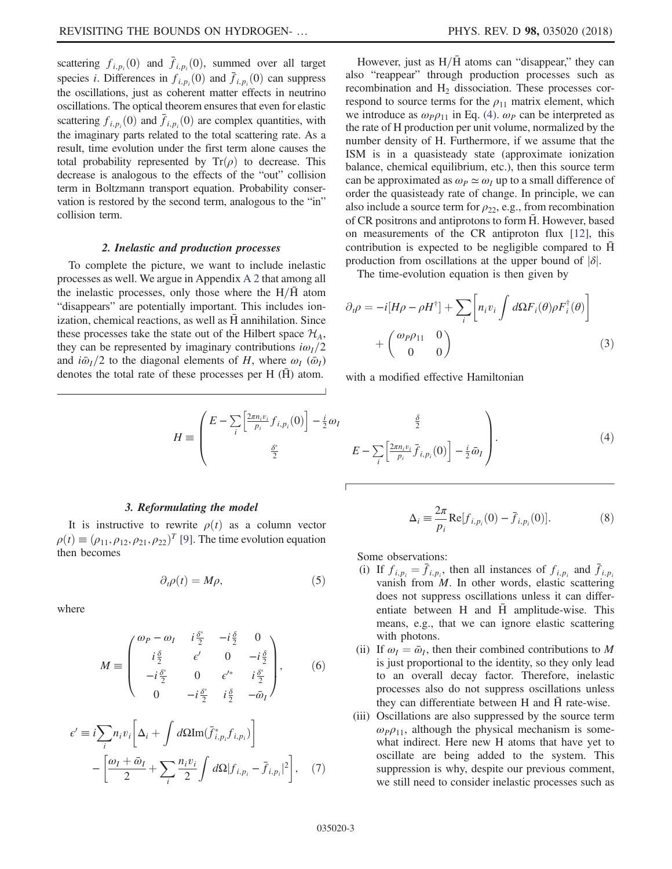scattering  $f_{i,p_i}(0)$  and  $\bar{f}_{i,p_i}(0)$ , summed over all target<br>openies in Differences in  $f_{i,p_i}(0)$  and  $\bar{f}_{i,p_i}(0)$  can suppress species *i*. Differences in  $f_{i,p_i}(0)$  and  $\bar{f}_{i,p_i}(0)$  can suppress<br>the oscillations, just as coherent matter effects in neutrino the oscillations, just as coherent matter effects in neutrino oscillations. The optical theorem ensures that even for elastic scattering  $f_{i,p_i}(0)$  and  $\bar{f}_{i,p_i}(0)$  are complex quantities, with<br>the imaginary parts related to the total scattering rate. As a the imaginary parts related to the total scattering rate. As a result, time evolution under the first term alone causes the total probability represented by  $Tr(\rho)$  to decrease. This decrease is analogous to the effects of the "out" collision term in Boltzmann transport equation. Probability conservation is restored by the second term, analogous to the "in" collision term.

### 2. Inelastic and production processes

<span id="page-2-2"></span>To complete the picture, we want to include inelastic processes as well. We argue in Appendix [A 2](#page-7-0) that among all the inelastic processes, only those where the  $H/\bar{H}$  atom "disappears" are potentially important. This includes ionization, chemical reactions, as well as  $\bar{H}$  annihilation. Since these processes take the state out of the Hilbert space  $\mathcal{H}_A$ , they can be represented by imaginary contributions  $i\omega_I/2$ and  $i\bar{\omega}_I/2$  to the diagonal elements of H, where  $\omega_I$  ( $\bar{\omega}_I$ ) denotes the total rate of these processes per H  $(\bar{H})$  atom.

However, just as  $H/\bar{H}$  atoms can "disappear," they can also "reappear" through production processes such as recombination and  $H_2$  dissociation. These processes correspond to source terms for the  $\rho_{11}$  matrix element, which we introduce as  $\omega_P \rho_{11}$  in Eq. [\(4\).](#page-2-0)  $\omega_P$  can be interpreted as the rate of H production per unit volume, normalized by the number density of H. Furthermore, if we assume that the ISM is in a quasisteady state (approximate ionization balance, chemical equilibrium, etc.), then this source term can be approximated as  $\omega_P \simeq \omega_I$  up to a small difference of order the quasisteady rate of change. In principle, we can also include a source term for  $\rho_{22}$ , e.g., from recombination of CR positrons and antiprotons to form H. However, based ¯ on measurements of the CR antiproton flux [\[12\],](#page-10-10) this contribution is expected to be negligible compared to  $\overline{H}$ production from oscillations at the upper bound of  $|\delta|$ .

The time-evolution equation is then given by

$$
\partial_t \rho = -i[H\rho - \rho H^{\dagger}] + \sum_i \left[ n_i v_i \int d\Omega F_i(\theta) \rho F_i^{\dagger}(\theta) \right] + \begin{pmatrix} \omega_P \rho_{11} & 0 \\ 0 & 0 \end{pmatrix}
$$
 (3)

with a modified effective Hamiltonian

<span id="page-2-0"></span>
$$
H \equiv \begin{pmatrix} E - \sum_{i} \left[ \frac{2\pi n_i v_i}{p_i} f_{i, p_i}(0) \right] - \frac{i}{2} \omega_I & \frac{\delta}{2} \\ \frac{\delta^*}{2} & E - \sum_{i} \left[ \frac{2\pi n_i v_i}{p_i} \overline{f}_{i, p_i}(0) \right] - \frac{i}{2} \overline{\omega}_I \end{pmatrix} . \tag{4}
$$

### 3. Reformulating the model

<span id="page-2-1"></span>It is instructive to rewrite  $\rho(t)$  as a column vector  $\rho(t) \equiv (\rho_{11}, \rho_{12}, \rho_{21}, \rho_{22})^T$  [\[9\].](#page-10-7) The time evolution equation then becomes

$$
\partial_t \rho(t) = M \rho, \tag{5}
$$

where

$$
M \equiv \begin{pmatrix} \omega_P - \omega_I & i\frac{\delta^*}{2} & -i\frac{\delta}{2} & 0 \\ i\frac{\delta}{2} & \epsilon' & 0 & -i\frac{\delta}{2} \\ -i\frac{\delta^*}{2} & 0 & \epsilon'^* & i\frac{\delta^*}{2} \\ 0 & -i\frac{\delta^*}{2} & i\frac{\delta}{2} & -\bar{\omega}_I \end{pmatrix},
$$
(6)

<span id="page-2-3"></span>
$$
\epsilon' \equiv i \sum_{i} n_i v_i \left[ \Delta_i + \int d\Omega \text{Im}(\bar{f}_{i,p_i}^* f_{i,p_i}) \right]
$$

$$
- \left[ \frac{\omega_I + \bar{\omega}_I}{2} + \sum_{i} \frac{n_i v_i}{2} \int d\Omega |f_{i,p_i} - \bar{f}_{i,p_i}|^2 \right], \quad (7)
$$

$$
\Delta_i = \frac{2\pi}{p_i} \text{Re}[f_{i,p_i}(0) - \bar{f}_{i,p_i}(0)].
$$
 (8)

Some observations:

- (i) If  $f_{i,p_i} = \bar{f}_{i,p_i}$ , then all instances of  $f_{i,p_i}$  and  $\bar{f}_{i,p_i}$ <br>vanish from M. In other words, elastic scattering vanish from  $M$ . In other words, elastic scattering does not suppress oscillations unless it can differentiate between H and  $\bar{H}$  amplitude-wise. This means, e.g., that we can ignore elastic scattering with photons.
- (ii) If  $\omega_I = \bar{\omega}_I$ , then their combined contributions to M is just proportional to the identity, so they only lead to an overall decay factor. Therefore, inelastic processes also do not suppress oscillations unless they can differentiate between H and H rate-wise.
- (iii) Oscillations are also suppressed by the source term  $\omega_P \rho_{11}$ , although the physical mechanism is somewhat indirect. Here new H atoms that have yet to oscillate are being added to the system. This suppression is why, despite our previous comment, we still need to consider inelastic processes such as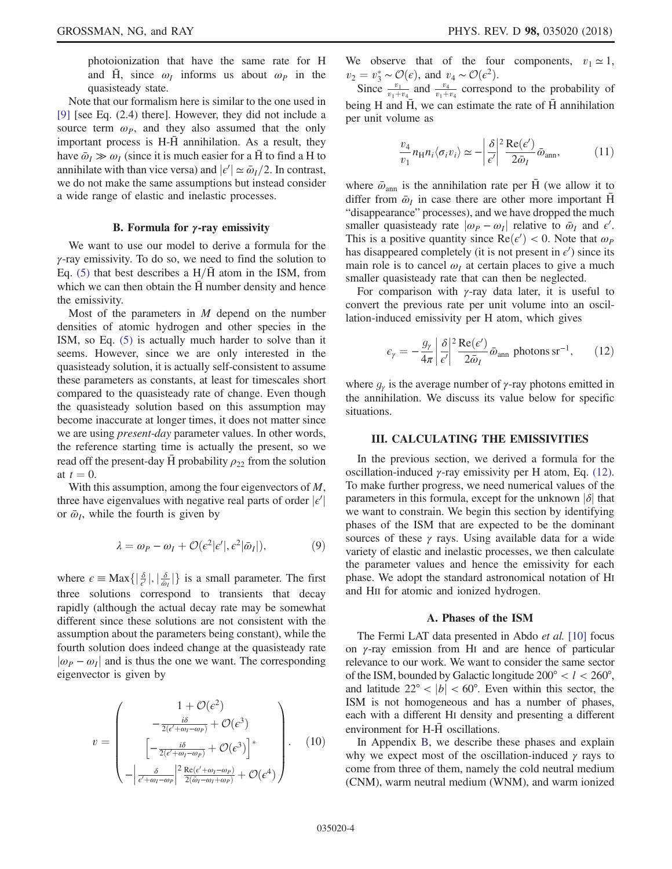photoionization that have the same rate for H and H, since  $\omega_I$  informs us about  $\omega_P$  in the quasisteady state.

Note that our formalism here is similar to the one used in [\[9\]](#page-10-7) [see Eq. (2.4) there]. However, they did not include a source term  $\omega_p$ , and they also assumed that the only important process is  $H-\overline{H}$  annihilation. As a result, they have  $\bar{\omega}_I \gg \omega_I$  (since it is much easier for a  $\bar{H}$  to find a H to annihilate with than vice versa) and  $|\epsilon'| \approx \bar{\omega}_I/2$ . In contrast, we do not make the same assumptions but instead consider we do not make the same assumptions but instead consider a wide range of elastic and inelastic processes.

#### B. Formula for  $\gamma$ -ray emissivity

We want to use our model to derive a formula for the  $\gamma$ -ray emissivity. To do so, we need to find the solution to Eq. [\(5\)](#page-2-1) that best describes a  $H/\overline{H}$  atom in the ISM, from which we can then obtain the  $\overline{H}$  number density and hence the emissivity.

Most of the parameters in  $M$  depend on the number densities of atomic hydrogen and other species in the ISM, so Eq. [\(5\)](#page-2-1) is actually much harder to solve than it seems. However, since we are only interested in the quasisteady solution, it is actually self-consistent to assume these parameters as constants, at least for timescales short compared to the quasisteady rate of change. Even though the quasisteady solution based on this assumption may become inaccurate at longer times, it does not matter since we are using *present-day* parameter values. In other words, the reference starting time is actually the present, so we read off the present-day H probability  $\rho_{22}$  from the solution at  $t = 0$ .

With this assumption, among the four eigenvectors of  $M$ , three have eigenvalues with negative real parts of order  $|\epsilon'|$ <br>or  $\bar{\omega}$ , while the fourth is given by or  $\bar{\omega}_l$ , while the fourth is given by

$$
\lambda = \omega_P - \omega_I + \mathcal{O}(\epsilon^2 |\epsilon'|, \epsilon^2 |\bar{\omega}_I|),\tag{9}
$$

where  $\epsilon \equiv \text{Max}\{|\frac{\delta}{\omega_1}|, |\frac{\delta}{\omega_2}|\}$  is a small parameter. The first three solutions correspond to transients that decay rapidly (although the actual decay rate may be somewhat different since these solutions are not consistent with the assumption about the parameters being constant), while the fourth solution does indeed change at the quasisteady rate  $|\omega_P - \omega_I|$  and is thus the one we want. The corresponding eigenvector is given by

$$
v = \begin{pmatrix} 1 + \mathcal{O}(\epsilon^2) \\ -\frac{i\delta}{2(\epsilon' + \omega_I - \omega_P)} + \mathcal{O}(\epsilon^3) \\ \left[ -\frac{i\delta}{2(\epsilon' + \omega_I - \omega_P)} + \mathcal{O}(\epsilon^3) \right]^* \\ -\left| \frac{\delta}{\epsilon' + \omega_I - \omega_P} \right|^2 \frac{\text{Re}(\epsilon' + \omega_I - \omega_P)}{2(\bar{\omega}_I - \omega_I + \omega_P)} + \mathcal{O}(\epsilon^4) \end{pmatrix} . \tag{10}
$$

We observe that of the four components,  $v_1 \approx 1$ ,  $v_2 = v_3^* \sim \mathcal{O}(\epsilon)$ , and  $v_4 \sim \mathcal{O}(\epsilon^2)$ .<br>Since  $v_1$  and  $v_4$  correspo

Since  $\frac{v_1}{v_1+v_4}$  and  $\frac{v_4}{v_1+v_4}$  correspond to the probability of being H and  $\bar{H}$ , we can estimate the rate of  $\bar{H}$  annihilation per unit volume as

$$
\frac{v_4}{v_1} n_{\rm H} n_i \langle \sigma_i v_i \rangle \simeq - \left| \frac{\delta}{\epsilon'} \right|^2 \frac{\text{Re}(\epsilon')}{2 \bar{\omega}_I} \bar{\omega}_{\text{ann}}, \tag{11}
$$

where  $\bar{\omega}_{\text{ann}}$  is the annihilation rate per H (we allow it to differ from  $\bar{\omega}_I$  in case there are other more important H "disappearance" processes), and we have dropped the much smaller quasisteady rate  $|\omega_P - \omega_I|$  relative to  $\bar{\omega}_I$  and  $\epsilon'$ .<br>This is a positive quantity since  $\text{Re}(\epsilon') < 0$ . Note that  $\omega_D$ This is a positive quantity since  $Re(\epsilon') < 0$ . Note that  $\omega_p$  has disappeared completely (it is not present in  $\epsilon'$ ) since its has disappeared completely (it is not present in  $\epsilon'$ ) since its main role is to cancel  $\omega_I$  at certain places to give a much smaller quasisteady rate that can then be neglected.

<span id="page-3-1"></span>For comparison with  $\gamma$ -ray data later, it is useful to convert the previous rate per unit volume into an oscillation-induced emissivity per H atom, which gives

$$
\epsilon_{\gamma} = -\frac{g_{\gamma}}{4\pi} \left| \frac{\delta}{\epsilon'} \right|^2 \frac{\text{Re}(\epsilon')}{2\bar{\omega}_I} \bar{\omega}_{\text{ann}} \text{ photons sr}^{-1}, \qquad (12)
$$

where  $g_{\gamma}$  is the average number of  $\gamma$ -ray photons emitted in the annihilation. We discuss its value below for specific situations.

### <span id="page-3-0"></span>III. CALCULATING THE EMISSIVITIES

In the previous section, we derived a formula for the oscillation-induced γ-ray emissivity per H atom, Eq. [\(12\)](#page-3-1). To make further progress, we need numerical values of the parameters in this formula, except for the unknown  $|\delta|$  that we want to constrain. We begin this section by identifying phases of the ISM that are expected to be the dominant sources of these  $\gamma$  rays. Using available data for a wide variety of elastic and inelastic processes, we then calculate the parameter values and hence the emissivity for each phase. We adopt the standard astronomical notation of HI and HII for atomic and ionized hydrogen.

#### A. Phases of the ISM

<span id="page-3-2"></span>The Fermi LAT data presented in Abdo *et al.* [\[10\]](#page-10-8) focus on γ-ray emission from HI and are hence of particular relevance to our work. We want to consider the same sector of the ISM, bounded by Galactic longitude  $200^{\circ} < l < 260^{\circ}$ , and latitude  $22^{\circ}$  <  $|b|$  < 60°. Even within this sector, the ISM is not homogeneous and has a number of phases, each with a different HI density and presenting a different environment for  $H-\bar{H}$  oscillations.

In Appendix [B,](#page-7-1) we describe these phases and explain why we expect most of the oscillation-induced  $\gamma$  rays to come from three of them, namely the cold neutral medium (CNM), warm neutral medium (WNM), and warm ionized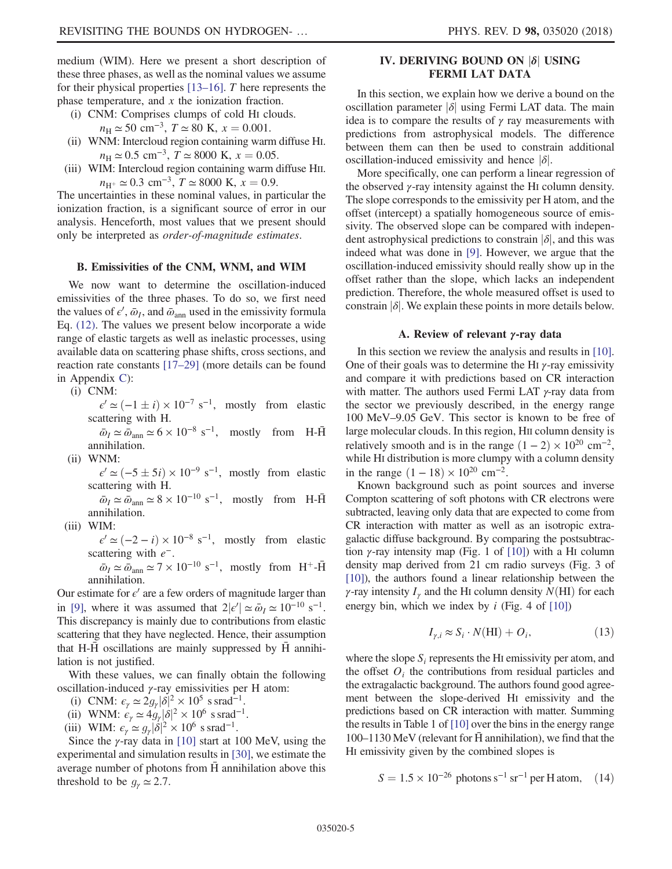medium (WIM). Here we present a short description of these three phases, as well as the nominal values we assume for their physical properties [13–[16\].](#page-10-11) T here represents the phase temperature, and  $x$  the ionization fraction.

(i) CNM: Comprises clumps of cold HI clouds.

 $n_{\rm H} \simeq 50 \text{ cm}^{-3}$ ,  $T \simeq 80 \text{ K}$ ,  $x = 0.001$ .

- (ii) WNM: Intercloud region containing warm diffuse HI.  $n_{\rm H} \simeq 0.5$  cm<sup>-3</sup>,  $T \simeq 8000$  K,  $x = 0.05$ .
- (iii) WIM: Intercloud region containing warm diffuse HII.  $n_{\text{H}^+} \simeq 0.3 \text{ cm}^{-3}$ ,  $T \simeq 8000 \text{ K}$ ,  $x = 0.9$ .

The uncertainties in these nominal values, in particular the ionization fraction, is a significant source of error in our analysis. Henceforth, most values that we present should only be interpreted as order-of-magnitude estimates.

### B. Emissivities of the CNM, WNM, and WIM

We now want to determine the oscillation-induced emissivities of the three phases. To do so, we first need the values of  $\epsilon'$ ,  $\bar{\omega}_I$ , and  $\bar{\omega}_{ann}$  used in the emissivity formula Eq. [\(12\).](#page-3-1) The values we present below incorporate a wide range of elastic targets as well as inelastic processes, using available data on scattering phase shifts, cross sections, and reaction rate constants [17–[29\]](#page-11-0) (more details can be found in Appendix [C\)](#page-8-0):

(i) CNM:

 $\epsilon' \simeq (-1 \pm i) \times 10^{-7} \text{ s}^{-1}$ , mostly from elastic<br>attering with H scattering with H.

 $\bar{\omega}_I \simeq \bar{\omega}_{\text{ann}} \simeq 6 \times 10^{-8} \text{ s}^{-1}$ , mostly from H- $\bar{\text{H}}$ annihilation.

(ii) WNM:

 $\epsilon' \simeq (-5 \pm 5i) \times 10^{-9} \text{ s}^{-1}$ , mostly from elastic<br>attering with H scattering with H.

 $\bar{\omega}_I \simeq \bar{\omega}_{\text{ann}} \simeq 8 \times 10^{-10} \text{ s}^{-1}$ , mostly from H- $\bar{\text{H}}$ annihilation.

(iii) WIM:

 $\epsilon' \simeq (-2 - i) \times 10^{-8} \text{ s}^{-1}$ , mostly from elastic scattering with  $e^-$ .

 $\bar{\omega}_I \simeq \bar{\omega}_{ann} \simeq 7 \times 10^{-10} \text{ s}^{-1}$ , mostly from H<sup>+</sup>-H<sup> $+$ </sup> annihilation.

Our estimate for  $\epsilon'$  are a few orders of magnitude larger than in [\[9\]](#page-10-7), where it was assumed that  $2|\epsilon'| \simeq \bar{\omega}_I \simeq 10^{-10} \text{ s}^{-1}$ .<br>This discrepancy is mainly due to contributions from elastic This discrepancy is mainly due to contributions from elastic scattering that they have neglected. Hence, their assumption that H- $\bar{H}$  oscillations are mainly suppressed by  $\bar{H}$  annihilation is not justified.

With these values, we can finally obtain the following oscillation-induced γ-ray emissivities per H atom:

- (i) CNM:  $\epsilon_{\gamma} \simeq 2g_{\gamma} |\delta|^2 \times 10^5 \text{ s} \text{ s} \text{ rad}^{-1}$ .<br>
(ii) WNM:  $\epsilon \simeq 4g |\delta|^2 \times 10^6 \text{ s} \text{ s} \text{ rad}^{-1}$ .
- (ii) WNM:  $\epsilon_{\gamma} \simeq 4g_{\gamma} |\delta|^2 \times 10^6$  s srad<sup>-1</sup>.<br>
iii) WIM:  $\epsilon_{\gamma} \simeq a |\delta|^2 \times 10^6$  s srad<sup>-1</sup>.
- (iii) WIM:  $\epsilon_{\gamma} \simeq g_{\gamma} |\dot{\delta}|^2 \times 10^6$  s srad<sup>-1</sup>.<br>Since the v-ray data in [10] start at 1

Since the  $\gamma$ -ray data in [\[10\]](#page-10-8) start at 100 MeV, using the experimental and simulation results in [\[30\]](#page-11-1), we estimate the average number of photons from  $\overline{H}$  annihilation above this threshold to be  $g_{\gamma} \simeq 2.7$ .

## <span id="page-4-0"></span>IV. DERIVING BOUND ON jδj USING FERMI LAT DATA

In this section, we explain how we derive a bound on the oscillation parameter  $|\delta|$  using Fermi LAT data. The main idea is to compare the results of  $\gamma$  ray measurements with predictions from astrophysical models. The difference between them can then be used to constrain additional oscillation-induced emissivity and hence  $|\delta|$ .

More specifically, one can perform a linear regression of the observed  $\gamma$ -ray intensity against the HI column density. The slope corresponds to the emissivity per H atom, and the offset (intercept) a spatially homogeneous source of emissivity. The observed slope can be compared with independent astrophysical predictions to constrain  $|\delta|$ , and this was indeed what was done in [\[9\].](#page-10-7) However, we argue that the oscillation-induced emissivity should really show up in the offset rather than the slope, which lacks an independent prediction. Therefore, the whole measured offset is used to constrain  $|\delta|$ . We explain these points in more details below.

### A. Review of relevant γ-ray data

In this section we review the analysis and results in [\[10\]](#page-10-8). One of their goals was to determine the H<sub>I</sub>  $\gamma$ -ray emissivity and compare it with predictions based on CR interaction with matter. The authors used Fermi LAT  $\gamma$ -ray data from the sector we previously described, in the energy range 100 MeV–9.05 GeV. This sector is known to be free of large molecular clouds. In this region, HII column density is relatively smooth and is in the range  $(1 – 2) \times 10^{20}$  cm<sup>-2</sup>, while HI distribution is more clumpy with a column density in the range  $(1 - 18) \times 10^{20}$  cm<sup>-2</sup>.

Known background such as point sources and inverse Compton scattering of soft photons with CR electrons were subtracted, leaving only data that are expected to come from CR interaction with matter as well as an isotropic extragalactic diffuse background. By comparing the postsubtraction  $\gamma$ -ray intensity map (Fig. 1 of [\[10\]](#page-10-8)) with a HI column density map derived from 21 cm radio surveys (Fig. 3 of [\[10\]\)](#page-10-8), the authors found a linear relationship between the γ-ray intensity  $I_{\gamma}$  and the HI column density  $N(HI)$  for each energy bin, which we index by  $i$  (Fig. 4 of [\[10\]](#page-10-8))

$$
I_{\gamma,i} \approx S_i \cdot N(\text{HI}) + O_i,\tag{13}
$$

where the slope  $S_i$  represents the HI emissivity per atom, and the offset  $O_i$  the contributions from residual particles and the extragalactic background. The authors found good agreement between the slope-derived HI emissivity and the predictions based on CR interaction with matter. Summing the results in Table 1 of [\[10\]](#page-10-8) over the bins in the energy range  $100-1130$  MeV (relevant for H annihilation), we find that the HI emissivity given by the combined slopes is

 $S = 1.5 \times 10^{-26}$  photons s<sup>-1</sup> sr<sup>-1</sup> per H atom, (14)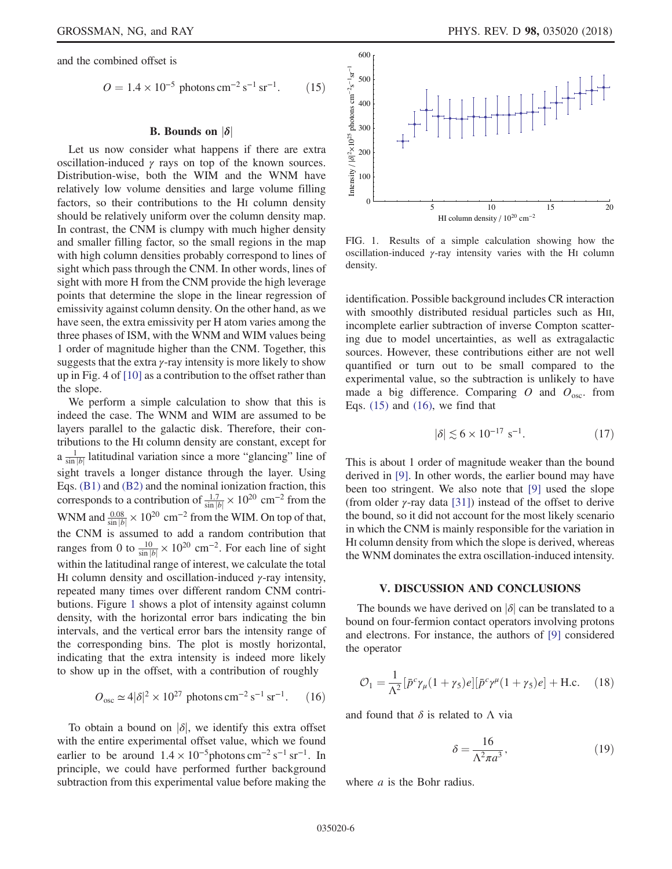<span id="page-5-2"></span>and the combined offset is

$$
O = 1.4 \times 10^{-5} \text{ photons cm}^{-2} \text{ s}^{-1} \text{ sr}^{-1}. \qquad (15)
$$

### **B.** Bounds on  $|\delta|$

Let us now consider what happens if there are extra oscillation-induced  $\gamma$  rays on top of the known sources. Distribution-wise, both the WIM and the WNM have relatively low volume densities and large volume filling factors, so their contributions to the HI column density should be relatively uniform over the column density map. In contrast, the CNM is clumpy with much higher density and smaller filling factor, so the small regions in the map with high column densities probably correspond to lines of sight which pass through the CNM. In other words, lines of sight with more H from the CNM provide the high leverage points that determine the slope in the linear regression of emissivity against column density. On the other hand, as we have seen, the extra emissivity per H atom varies among the three phases of ISM, with the WNM and WIM values being 1 order of magnitude higher than the CNM. Together, this suggests that the extra  $\gamma$ -ray intensity is more likely to show up in Fig. 4 of [\[10\]](#page-10-8) as a contribution to the offset rather than the slope.

We perform a simple calculation to show that this is indeed the case. The WNM and WIM are assumed to be layers parallel to the galactic disk. Therefore, their contributions to the HI column density are constant, except for  $a \frac{1}{\sin |b|}$  latitudinal variation since a more "glancing" line of sight travels a longer distance through the layer. Using Eqs. [\(B1\)](#page-7-2) and [\(B2\)](#page-7-3) and the nominal ionization fraction, this corresponds to a contribution of  $\frac{1.7}{\sinh 6} \times 10^{20}$  cm<sup>-2</sup> from the WNM and  $\frac{0.08}{\sinh b}$  × 10<sup>20</sup> cm<sup>-2</sup> from the WIM. On top of that, the CNM is assumed to add a random contribution that ranges from 0 to  $\frac{10}{\sin|b|} \times 10^{20}$  cm<sup>-2</sup>. For each line of sight within the latitudinal range of interest, we calculate the total HI column density and oscillation-induced  $γ$ -ray intensity, repeated many times over different random CNM contributions. Figure [1](#page-5-1) shows a plot of intensity against column density, with the horizontal error bars indicating the bin intervals, and the vertical error bars the intensity range of the corresponding bins. The plot is mostly horizontal, indicating that the extra intensity is indeed more likely to show up in the offset, with a contribution of roughly

<span id="page-5-3"></span>
$$
O_{\text{osc}} \simeq 4|\delta|^2 \times 10^{27} \text{ photons cm}^{-2} \text{ s}^{-1} \text{ sr}^{-1}. \qquad (16)
$$

To obtain a bound on  $|\delta|$ , we identify this extra offset with the entire experimental offset value, which we found earlier to be around  $1.4 \times 10^{-5}$ photons cm<sup>-2</sup> s<sup>-1</sup> sr<sup>-1</sup>. In principle, we could have performed further background subtraction from this experimental value before making the

<span id="page-5-1"></span>

FIG. 1. Results of a simple calculation showing how the oscillation-induced  $\gamma$ -ray intensity varies with the HI column density.

identification. Possible background includes CR interaction with smoothly distributed residual particles such as HII, incomplete earlier subtraction of inverse Compton scattering due to model uncertainties, as well as extragalactic sources. However, these contributions either are not well quantified or turn out to be small compared to the experimental value, so the subtraction is unlikely to have made a big difference. Comparing  $O$  and  $O_{\text{osc}}$ . from Eqs.  $(15)$  and  $(16)$ , we find that Examples 100<br>
FIG. 1. Results of a simple seculation-induced  $\gamma$ -ray inter<br>
HI column oscillation-induced  $\gamma$ -ray inter<br>
density.<br>
identification. Possible back,<br>
with smoothly distributed incomplete earlier subtractic<br>

$$
|\delta| \lesssim 6 \times 10^{-17} \text{ s}^{-1}.\tag{17}
$$

This is about 1 order of magnitude weaker than the bound derived in [\[9\]](#page-10-7). In other words, the earlier bound may have been too stringent. We also note that [\[9\]](#page-10-7) used the slope (from older  $\gamma$ -ray data [\[31\]\)](#page-11-2) instead of the offset to derive the bound, so it did not account for the most likely scenario in which the CNM is mainly responsible for the variation in HI column density from which the slope is derived, whereas the WNM dominates the extra oscillation-induced intensity.

#### V. DISCUSSION AND CONCLUSIONS

<span id="page-5-0"></span>The bounds we have derived on  $|\delta|$  can be translated to a bound on four-fermion contact operators involving protons and electrons. For instance, the authors of [\[9\]](#page-10-7) considered the operator

<span id="page-5-4"></span>
$$
\mathcal{O}_1 = \frac{1}{\Lambda^2} \left[ \bar{p}^c \gamma_\mu (1 + \gamma_5) e \right] \left[ \bar{p}^c \gamma^\mu (1 + \gamma_5) e \right] + \text{H.c.} \quad (18)
$$

and found that  $\delta$  is related to  $\Lambda$  via

$$
\delta = \frac{16}{\Lambda^2 \pi a^3},\tag{19}
$$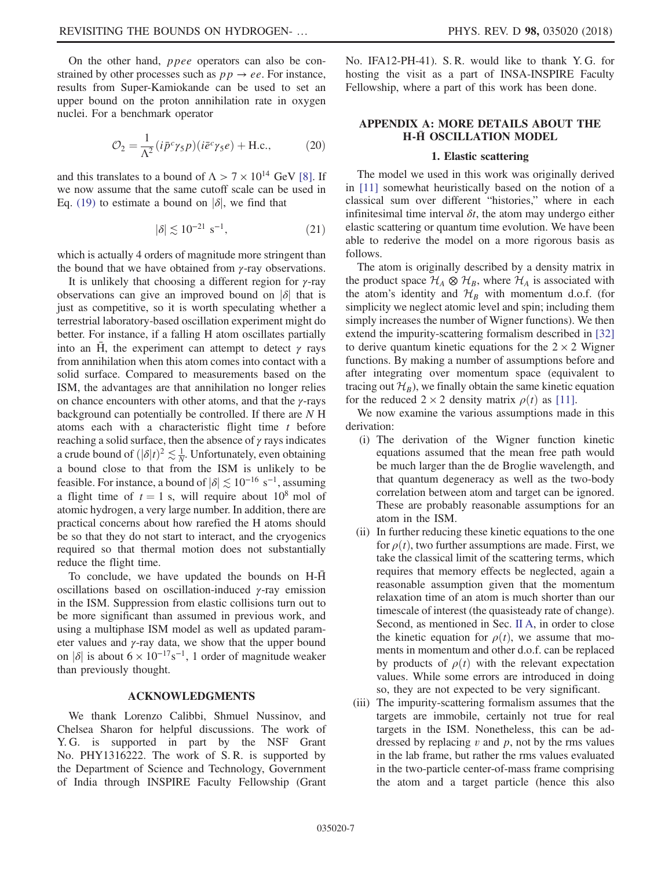On the other hand, ppee operators can also be constrained by other processes such as  $pp \rightarrow ee$ . For instance, results from Super-Kamiokande can be used to set an upper bound on the proton annihilation rate in oxygen nuclei. For a benchmark operator

$$
\mathcal{O}_2 = \frac{1}{\Lambda^2} (i\bar{p}^c \gamma_5 p)(i\bar{e}^c \gamma_5 e) + \text{H.c.},\tag{20}
$$

and this translates to a bound of  $\Lambda > 7 \times 10^{14}$  GeV [\[8\].](#page-10-6) If we now assume that the same cutoff scale can be used in Eq. [\(19\)](#page-5-4) to estimate a bound on  $|\delta|$ , we find that

$$
|\delta| \lesssim 10^{-21} \text{ s}^{-1},\tag{21}
$$

which is actually 4 orders of magnitude more stringent than the bound that we have obtained from  $\gamma$ -ray observations.

It is unlikely that choosing a different region for  $\gamma$ -ray observations can give an improved bound on  $|\delta|$  that is just as competitive, so it is worth speculating whether a terrestrial laboratory-based oscillation experiment might do better. For instance, if a falling H atom oscillates partially into an H, the experiment can attempt to detect  $\gamma$  rays from annihilation when this atom comes into contact with a solid surface. Compared to measurements based on the ISM, the advantages are that annihilation no longer relies on chance encounters with other atoms, and that the  $\gamma$ -rays background can potentially be controlled. If there are N H atoms each with a characteristic flight time  $t$  before reaching a solid surface, then the absence of  $\gamma$  rays indicates a crude bound of  $(|\delta|t)^2 \lesssim \frac{1}{N}$ . Unfortunately, even obtaining<br>a hound close to that from the ISM is unlikely to be a bound close to that from the ISM is unlikely to be feasible. For instance, a bound of  $|\delta| \lesssim 10^{-16}$  s<sup>-1</sup>, assuming a flight time of  $t = 1$  s, will require about  $10^8$  mol of atomic hydrogen, a very large number. In addition, there are practical concerns about how rarefied the H atoms should be so that they do not start to interact, and the cryogenics required so that thermal motion does not substantially reduce the flight time.

To conclude, we have updated the bounds on H-H<sup></sup> oscillations based on oscillation-induced  $\gamma$ -ray emission in the ISM. Suppression from elastic collisions turn out to be more significant than assumed in previous work, and using a multiphase ISM model as well as updated parameter values and  $\gamma$ -ray data, we show that the upper bound on | $\delta$ | is about 6 × 10<sup>-17</sup>s<sup>-1</sup>, 1 order of magnitude weaker than previously thought.

### ACKNOWLEDGMENTS

We thank Lorenzo Calibbi, Shmuel Nussinov, and Chelsea Sharon for helpful discussions. The work of Y. G. is supported in part by the NSF Grant No. PHY1316222. The work of S. R. is supported by the Department of Science and Technology, Government of India through INSPIRE Faculty Fellowship (Grant No. IFA12-PH-41). S. R. would like to thank Y. G. for hosting the visit as a part of INSA-INSPIRE Faculty Fellowship, where a part of this work has been done.

### <span id="page-6-0"></span>APPENDIX A: MORE DETAILS ABOUT THE **H-H OSCILLATION MODEL**

### 1. Elastic scattering

The model we used in this work was originally derived in [\[11\]](#page-10-9) somewhat heuristically based on the notion of a classical sum over different "histories," where in each infinitesimal time interval  $\delta t$ , the atom may undergo either elastic scattering or quantum time evolution. We have been able to rederive the model on a more rigorous basis as follows.

The atom is originally described by a density matrix in the product space  $\mathcal{H}_A \otimes \mathcal{H}_B$ , where  $\mathcal{H}_A$  is associated with the atom's identity and  $\mathcal{H}_B$  with momentum d.o.f. (for simplicity we neglect atomic level and spin; including them simply increases the number of Wigner functions). We then extend the impurity-scattering formalism described in [\[32\]](#page-11-3) to derive quantum kinetic equations for the  $2 \times 2$  Wigner functions. By making a number of assumptions before and after integrating over momentum space (equivalent to tracing out  $\mathcal{H}_B$ ), we finally obtain the same kinetic equation for the reduced  $2 \times 2$  density matrix  $\rho(t)$  as [\[11\].](#page-10-9)

We now examine the various assumptions made in this derivation:

- (i) The derivation of the Wigner function kinetic equations assumed that the mean free path would be much larger than the de Broglie wavelength, and that quantum degeneracy as well as the two-body correlation between atom and target can be ignored. These are probably reasonable assumptions for an atom in the ISM.
- (ii) In further reducing these kinetic equations to the one for  $\rho(t)$ , two further assumptions are made. First, we take the classical limit of the scattering terms, which requires that memory effects be neglected, again a reasonable assumption given that the momentum relaxation time of an atom is much shorter than our timescale of interest (the quasisteady rate of change). Second, as mentioned in Sec. [II A](#page-1-2), in order to close the kinetic equation for  $\rho(t)$ , we assume that moments in momentum and other d.o.f. can be replaced by products of  $\rho(t)$  with the relevant expectation values. While some errors are introduced in doing so, they are not expected to be very significant.
- (iii) The impurity-scattering formalism assumes that the targets are immobile, certainly not true for real targets in the ISM. Nonetheless, this can be addressed by replacing  $v$  and  $p$ , not by the rms values in the lab frame, but rather the rms values evaluated in the two-particle center-of-mass frame comprising the atom and a target particle (hence this also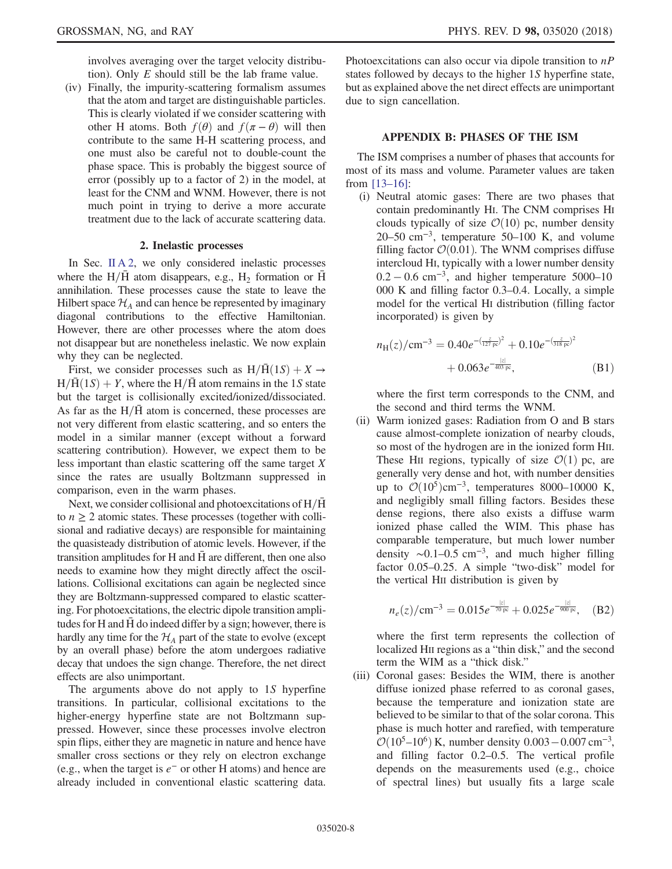involves averaging over the target velocity distribution). Only  $E$  should still be the lab frame value.

(iv) Finally, the impurity-scattering formalism assumes that the atom and target are distinguishable particles. This is clearly violated if we consider scattering with other H atoms. Both  $f(\theta)$  and  $f(\pi - \theta)$  will then contribute to the same H-H scattering process, and one must also be careful not to double-count the phase space. This is probably the biggest source of error (possibly up to a factor of 2) in the model, at least for the CNM and WNM. However, there is not much point in trying to derive a more accurate treatment due to the lack of accurate scattering data.

### 2. Inelastic processes

<span id="page-7-0"></span>In Sec. [II A 2,](#page-2-2) we only considered inelastic processes where the H/ $\overline{H}$  atom disappears, e.g., H<sub>2</sub> formation or  $\overline{H}$ annihilation. These processes cause the state to leave the Hilbert space  $\mathcal{H}_A$  and can hence be represented by imaginary diagonal contributions to the effective Hamiltonian. However, there are other processes where the atom does not disappear but are nonetheless inelastic. We now explain why they can be neglected.

First, we consider processes such as  $H/\bar{H}(1S) + X \rightarrow$  $H/\overline{H}(1S) + Y$ , where the  $H/\overline{H}$  atom remains in the 1S state but the target is collisionally excited/ionized/dissociated. As far as the  $H/H$  atom is concerned, these processes are not very different from elastic scattering, and so enters the model in a similar manner (except without a forward scattering contribution). However, we expect them to be less important than elastic scattering off the same target X since the rates are usually Boltzmann suppressed in comparison, even in the warm phases.

Next, we consider collisional and photoexcitations of  $H/H$ to  $n \geq 2$  atomic states. These processes (together with collisional and radiative decays) are responsible for maintaining the quasisteady distribution of atomic levels. However, if the transition amplitudes for H and H are different, then one also ¯ needs to examine how they might directly affect the oscillations. Collisional excitations can again be neglected since they are Boltzmann-suppressed compared to elastic scattering. For photoexcitations, the electric dipole transition amplitudes for H and  $\bar{H}$  do indeed differ by a sign; however, there is hardly any time for the  $\mathcal{H}_A$  part of the state to evolve (except by an overall phase) before the atom undergoes radiative decay that undoes the sign change. Therefore, the net direct effects are also unimportant.

The arguments above do not apply to 1S hyperfine transitions. In particular, collisional excitations to the higher-energy hyperfine state are not Boltzmann suppressed. However, since these processes involve electron spin flips, either they are magnetic in nature and hence have smaller cross sections or they rely on electron exchange (e.g., when the target is  $e^-$  or other H atoms) and hence are already included in conventional elastic scattering data. Photoexcitations can also occur via dipole transition to  $nP$ states followed by decays to the higher 1S hyperfine state, but as explained above the net direct effects are unimportant due to sign cancellation.

#### APPENDIX B: PHASES OF THE ISM

<span id="page-7-1"></span>The ISM comprises a number of phases that accounts for most of its mass and volume. Parameter values are taken from [13–[16\]:](#page-10-11)

(i) Neutral atomic gases: There are two phases that contain predominantly HI. The CNM comprises HI clouds typically of size  $\mathcal{O}(10)$  pc, number density  $20-50$  cm<sup>-3</sup>, temperature  $50-100$  K, and volume filling factor  $\mathcal{O}(0.01)$ . The WNM comprises diffuse intercloud HI, typically with a lower number density  $0.2 - 0.6$  cm<sup>-3</sup>, and higher temperature 5000–10 000 K and filling factor 0.3–0.4. Locally, a simple model for the vertical HI distribution (filling factor incorporated) is given by

<span id="page-7-2"></span>
$$
n_{\rm H}(z)/\rm cm^{-3} = 0.40e^{-(\frac{z}{127\,\rm pc})^2} + 0.10e^{-(\frac{z}{318\,\rm pc})^2} + 0.063e^{-\frac{|z|}{403\,\rm pc}},\tag{B1}
$$

where the first term corresponds to the CNM, and the second and third terms the WNM.

(ii) Warm ionized gases: Radiation from O and B stars cause almost-complete ionization of nearby clouds, so most of the hydrogen are in the ionized form HII. These H<sub>II</sub> regions, typically of size  $\mathcal{O}(1)$  pc, are generally very dense and hot, with number densities up to  $\mathcal{O}(10^5)$ cm<sup>-3</sup>, temperatures 8000–10000 K, and negligibly small filling factors. Besides these dense regions, there also exists a diffuse warm ionized phase called the WIM. This phase has comparable temperature, but much lower number density  $\sim$ 0.1–0.5 cm<sup>-3</sup>, and much higher filling factor 0.05–0.25. A simple "two-disk" model for the vertical HII distribution is given by

<span id="page-7-3"></span>
$$
n_e(z)/\text{cm}^{-3} = 0.015e^{-\frac{|z|}{70\text{ pc}}} + 0.025e^{-\frac{|z|}{900\text{ pc}}}, \quad \text{(B2)}
$$

where the first term represents the collection of localized HII regions as a "thin disk," and the second term the WIM as a "thick disk."

(iii) Coronal gases: Besides the WIM, there is another diffuse ionized phase referred to as coronal gases, because the temperature and ionization state are believed to be similar to that of the solar corona. This phase is much hotter and rarefied, with temperature  $\mathcal{O}(10^5-10^6)$  K, number density 0.003 – 0.007 cm<sup>-3</sup>, and filling factor 0.2–0.5. The vertical profile and filling factor 0.2–0.5. The vertical profile depends on the measurements used (e.g., choice of spectral lines) but usually fits a large scale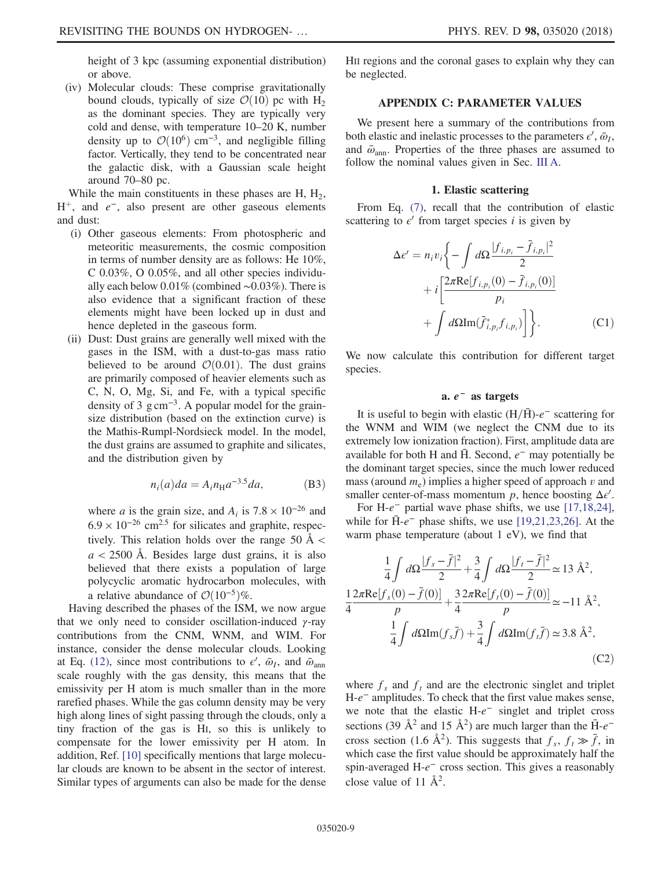height of 3 kpc (assuming exponential distribution) or above.

(iv) Molecular clouds: These comprise gravitationally bound clouds, typically of size  $\mathcal{O}(10)$  pc with H<sub>2</sub> as the dominant species. They are typically very cold and dense, with temperature 10–20 K, number density up to  $\mathcal{O}(10^6)$  cm<sup>-3</sup>, and negligible filling factor. Vertically, they tend to be concentrated near the galactic disk, with a Gaussian scale height around 70–80 pc.

While the main constituents in these phases are  $H$ ,  $H_2$ ,  $H^+$ , and  $e^-$ , also present are other gaseous elements and dust:

- (i) Other gaseous elements: From photospheric and meteoritic measurements, the cosmic composition in terms of number density are as follows: He 10%, C 0.03%, O 0.05%, and all other species individually each below 0.01% (combined ∼0.03%). There is also evidence that a significant fraction of these elements might have been locked up in dust and hence depleted in the gaseous form.
- (ii) Dust: Dust grains are generally well mixed with the gases in the ISM, with a dust-to-gas mass ratio believed to be around  $\mathcal{O}(0.01)$ . The dust grains are primarily composed of heavier elements such as C, N, O, Mg, Si, and Fe, with a typical specific density of 3 g cm<sup>-3</sup>. A popular model for the grainsize distribution (based on the extinction curve) is the Mathis-Rumpl-Nordsieck model. In the model, the dust grains are assumed to graphite and silicates, and the distribution given by

$$
n_i(a)da = A_i n_{\rm H} a^{-3.5} da,\tag{B3}
$$

where *a* is the grain size, and  $A_i$  is 7.8 × 10<sup>-26</sup> and  $6.9 \times 10^{-26}$  cm<sup>2.5</sup> for silicates and graphite, respectively. This relation holds over the range 50  $\AA$  <  $a < 2500$  Å. Besides large dust grains, it is also believed that there exists a population of large polycyclic aromatic hydrocarbon molecules, with a relative abundance of  $O(10^{-5})\%$ .

Having described the phases of the ISM, we now argue that we only need to consider oscillation-induced  $\gamma$ -ray contributions from the CNM, WNM, and WIM. For instance, consider the dense molecular clouds. Looking at Eq. [\(12\)](#page-3-1), since most contributions to  $\epsilon'$ ,  $\bar{\omega}_I$ , and  $\bar{\omega}_{ann}$ scale roughly with the gas density, this means that the emissivity per H atom is much smaller than in the more rarefied phases. While the gas column density may be very high along lines of sight passing through the clouds, only a tiny fraction of the gas is HI, so this is unlikely to compensate for the lower emissivity per H atom. In addition, Ref. [\[10\]](#page-10-8) specifically mentions that large molecular clouds are known to be absent in the sector of interest. Similar types of arguments can also be made for the dense HII regions and the coronal gases to explain why they can be neglected.

## APPENDIX C: PARAMETER VALUES

<span id="page-8-0"></span>We present here a summary of the contributions from both elastic and inelastic processes to the parameters  $\epsilon', \bar{\omega}_I$ , and  $\bar{\omega}_{ann}$ . Properties of the three phases are assumed to follow the nominal values given in Sec. [III A.](#page-3-2)

### 1. Elastic scattering

From Eq. [\(7\),](#page-2-3) recall that the contribution of elastic scattering to  $\epsilon'$  from target species i is given by

$$
\Delta \epsilon' = n_i v_i \left\{ - \int d\Omega \frac{|f_{i,p_i} - \bar{f}_{i,p_i}|^2}{2} + i \left[ \frac{2\pi \text{Re}[f_{i,p_i}(0) - \bar{f}_{i,p_i}(0)]}{p_i} + \int d\Omega \text{Im}(\bar{f}_{i,p_i}^* f_{i,p_i}) \right] \right\}.
$$
 (C1)

We now calculate this contribution for different target species.

### a.  $e^-$  as targets

It is useful to begin with elastic  $(H/\bar{H})$ - $e^-$  scattering for the WNM and WIM (we neglect the CNM due to its extremely low ionization fraction). First, amplitude data are available for both H and  $\overline{H}$ . Second,  $e^-$  may potentially be the dominant target species, since the much lower reduced mass (around  $m_e$ ) implies a higher speed of approach v and smaller center-of-mass momentum  $p$ , hence boosting  $\Delta \epsilon'$ .

For H- $e^-$  partial wave phase shifts, we use [\[17,18,24\]](#page-11-0), while for  $\bar{H}$ - $e^-$  phase shifts, we use [\[19,21,23,26\]](#page-11-4). At the warm phase temperature (about 1 eV), we find that

$$
\frac{1}{4} \int d\Omega \frac{|f_s - \bar{f}|^2}{2} + \frac{3}{4} \int d\Omega \frac{|f_t - \bar{f}|^2}{2} \approx 13 \text{ \AA}^2,
$$
  

$$
\frac{1}{4} \frac{2\pi \text{Re}[f_s(0) - \bar{f}(0)]}{p} + \frac{3}{4} \frac{2\pi \text{Re}[f_t(0) - \bar{f}(0)]}{p} \approx -11 \text{ \AA}^2,
$$
  

$$
\frac{1}{4} \int d\Omega \text{Im}(f_s \bar{f}) + \frac{3}{4} \int d\Omega \text{Im}(f_t \bar{f}) \approx 3.8 \text{ \AA}^2,
$$
  
(C2)

where  $f_s$  and  $f_t$  and are the electronic singlet and triplet H-e<sup>−</sup> amplitudes. To check that the first value makes sense, we note that the elastic H-e<sup>−</sup> singlet and triplet cross sections (39  $\AA^2$  and 15  $\AA^2$ ) are much larger than the  $\bar{H}$ - $e^$ cross section (1.6 Å<sup>2</sup>). This suggests that  $f_s$ ,  $f_t \gg \bar{f}$ , in which case the first value should be approximately half the spin-averaged H- $e^-$  cross section. This gives a reasonably close value of 11  $\AA^2$ .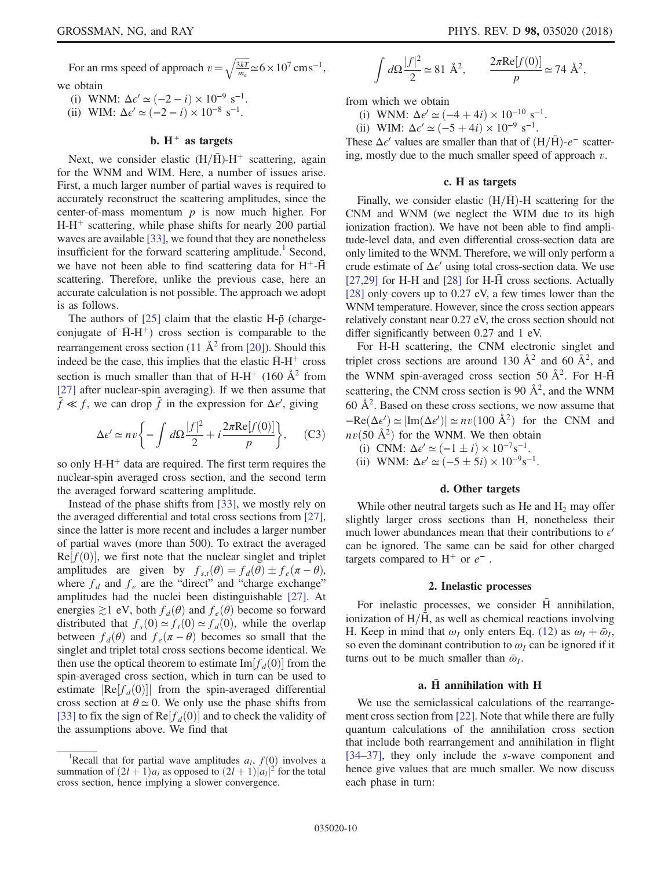For an rms speed of approach  $v = \sqrt{\frac{3kT}{m_e}} \approx 6 \times 10^7 \text{ cm s}^{-1}$ ,

we obtain

- (i) WNM:  $\Delta \epsilon' \simeq (-2 i) \times 10^{-9} \text{ s}^{-1}$ .
- (ii) WIM:  $\Delta \epsilon' \simeq (-2 i) \times 10^{-8} \text{ s}^{-1}$ .

### b.  $H^+$  as targets

Next, we consider elastic  $(H/\bar{H})$ -H<sup>+</sup> scattering, again for the WNM and WIM. Here, a number of issues arise. First, a much larger number of partial waves is required to accurately reconstruct the scattering amplitudes, since the center-of-mass momentum  $p$  is now much higher. For  $H-H^+$  scattering, while phase shifts for nearly 200 partial waves are available [\[33\],](#page-11-5) we found that they are nonetheless insufficient for the forward scattering amplitude.<sup>1</sup> Second, we have not been able to find scattering data for  $H^+$ - $\bar{H}$ scattering. Therefore, unlike the previous case, here an accurate calculation is not possible. The approach we adopt is as follows.

The authors of  $[25]$  claim that the elastic H- $\bar{p}$  (chargeconjugate of  $\bar{H}$ -H<sup>+</sup>) cross section is comparable to the rearrangement cross section (11  $\AA^2$  from [\[20\]](#page-11-7)). Should this indeed be the case, this implies that the elastic  $\bar{H}$ -H<sup>+</sup> cross section is much smaller than that of H-H<sup>+</sup> (160  $\AA$ <sup>2</sup> from [\[27\]](#page-11-8) after nuclear-spin averaging). If we then assume that  $\bar{f} \ll f$ , we can drop  $\bar{f}$  in the expression for  $\Delta \epsilon'$ , giving

$$
\Delta \epsilon' \simeq n v \left\{ - \int d\Omega \frac{|f|^2}{2} + i \frac{2\pi \text{Re}[f(0)]}{p} \right\}, \quad \text{(C3)}
$$

so only  $H-H^+$  data are required. The first term requires the nuclear-spin averaged cross section, and the second term the averaged forward scattering amplitude.

Instead of the phase shifts from [\[33\]](#page-11-5), we mostly rely on the averaged differential and total cross sections from [\[27\]](#page-11-8), since the latter is more recent and includes a larger number of partial waves (more than 500). To extract the averaged  $Re[f(0)]$ , we first note that the nuclear singlet and triplet amplitudes are given by  $f_{s,t}(\theta) = f_d(\theta) \pm f_e(\pi - \theta)$ ,<br>where f, and f are the "direct" and "charge exchange" where  $f_d$  and  $f_e$  are the "direct" and "charge exchange" amplitudes had the nuclei been distinguishable [\[27\]](#page-11-8). At energies  $\gtrsim$ 1 eV, both  $f_d(\theta)$  and  $f_e(\theta)$  become so forward distributed that  $f_s(0) \simeq f_t(0) \simeq f_d(0)$ , while the overlap between  $f_d(\theta)$  and  $f_e(\pi - \theta)$  becomes so small that the singlet and triplet total cross sections become identical. We then use the optical theorem to estimate Im $[f_d(0)]$  from the spin-averaged cross section, which in turn can be used to estimate  $\text{Re}[f_d(0)]$  from the spin-averaged differential cross section at  $\theta \approx 0$ . We only use the phase shifts from [\[33\]](#page-11-5) to fix the sign of  $\text{Re}[f_d(0)]$  and to check the validity of the assumptions above. We find that

$$
\int d\Omega \frac{|f|^2}{2} \simeq 81 \text{ \AA}^2, \qquad \frac{2\pi \text{Re}[f(0)]}{p} \simeq 74 \text{ \AA}^2,
$$

from which we obtain

- (i) WNM:  $\Delta \epsilon' \simeq (-4 + 4i) \times 10^{-10} \text{ s}^{-1}$ .
- (ii) WIM:  $\Delta \epsilon' \simeq (-5 + 4i) \times 10^{-9} \text{ s}^{-1}$ .

These  $\Delta \epsilon'$  values are smaller than that of  $(H/\bar{H})$ - $e^-$  scattering, mostly due to the much smaller speed of approach  $v$ .

### c. H as targets

Finally, we consider elastic  $(H/\bar{H})$ -H scattering for the CNM and WNM (we neglect the WIM due to its high ionization fraction). We have not been able to find amplitude-level data, and even differential cross-section data are only limited to the WNM. Therefore, we will only perform a crude estimate of  $\Delta \epsilon'$  using total cross-section data. We use  $[27,29]$  for H-H and  $[28]$  for H-H cross sections. Actually [\[28\]](#page-11-9) only covers up to 0.27 eV, a few times lower than the WNM temperature. However, since the cross section appears relatively constant near 0.27 eV, the cross section should not differ significantly between 0.27 and 1 eV.

For H-H scattering, the CNM electronic singlet and triplet cross sections are around 130  $\AA^2$  and 60  $\AA^2$ , and the WNM spin-averaged cross section 50  $\AA^2$ . For H- $\bar{H}$ scattering, the CNM cross section is 90  $\AA^2$ , and the WNM  $60 \text{ Å}^2$ . Based on these cross sections, we now assume that  $-\text{Re}(\Delta \epsilon') \simeq |\text{Im}(\Delta \epsilon')| \simeq nv(100 \text{ Å}^2)$  for the CNM and  $nv(50 \text{ Å}^2)$  for the WNM. We then obtain<br>
(i) CNM:  $\Delta \epsilon' \sim (-1 + i) \times 10^{-7} \text{s}^{-1}$ 

- (i) CNM:  $\Delta \epsilon' \simeq (-1 \pm i) \times 10^{-7} \text{s}^{-1}$ .<br>
ii) WNM:  $\Delta \epsilon' \sim (-5 + 5i) \times 10^{-9} \text{s}^{-1}$
- (ii) WNM:  $\Delta \epsilon' \simeq (-5 \pm 5i) \times 10^{-9} \text{s}^{-1}$ .

### d. Other targets

While other neutral targets such as He and  $H_2$  may offer slightly larger cross sections than H, nonetheless their much lower abundances mean that their contributions to  $\epsilon'$ can be ignored. The same can be said for other charged targets compared to  $H^+$  or  $e^-$ .

#### 2. Inelastic processes

For inelastic processes, we consider H annihilation, ionization of  $H/\overline{H}$ , as well as chemical reactions involving H. Keep in mind that  $\omega_I$  only enters Eq. [\(12\)](#page-3-1) as  $\omega_I + \bar{\omega}_I$ , so even the dominant contribution to  $\omega_I$  can be ignored if it turns out to be much smaller than  $\bar{\omega}_I$ .

### a.  $\bar{H}$  annihilation with H

We use the semiclassical calculations of the rearrangement cross section from [\[22\].](#page-11-10) Note that while there are fully quantum calculations of the annihilation cross section that include both rearrangement and annihilation in flight [\[34](#page-11-11)–37], they only include the s-wave component and hence give values that are much smaller. We now discuss each phase in turn:

<sup>&</sup>lt;sup>1</sup>Recall that for partial wave amplitudes  $a_l$ ,  $f(0)$  involves a monoton of  $(2l+1)a_l$  as opposed to  $(2l+1)|a_l|^2$  for the total summation of  $(2l + 1)a_l$  as opposed to  $(2l + 1)|a_l|^2$  for the total cross section, hence implying a slower convergence. cross section, hence implying a slower convergence.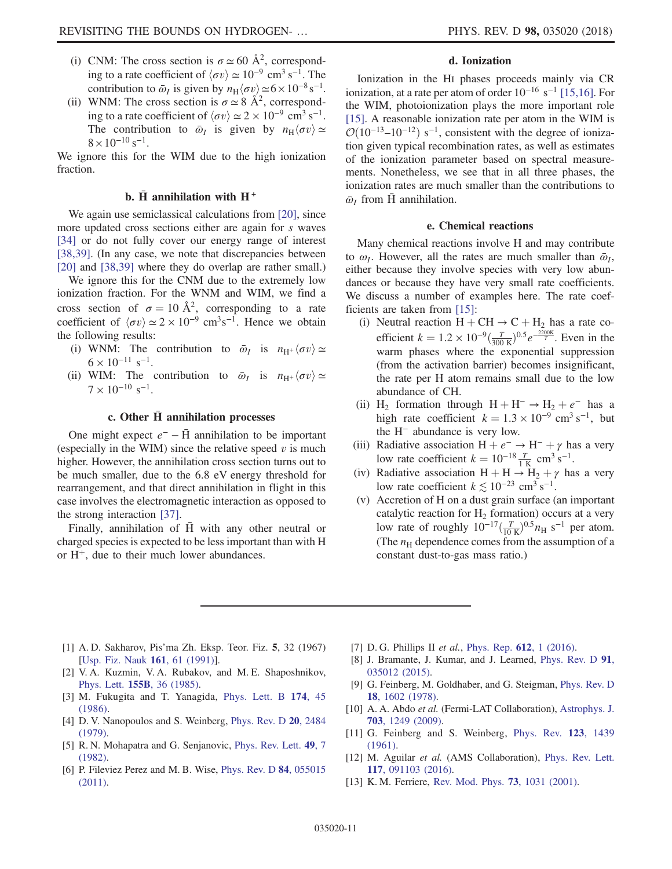- (i) CNM: The cross section is  $\sigma \simeq 60 \text{ Å}^2$ , corresponding to a rate coefficient of  $\langle \sigma v \rangle \simeq 10^{-9}$  cm<sup>3</sup> s<sup>-1</sup>. The contribution to  $\bar{\omega}_I$  is given by  $n_H \langle \sigma v \rangle \simeq 6 \times 10^{-8} \text{ s}^{-1}$ .<br>WNM: The cross section is  $\sigma \sim 8 \text{ Å}^2$  correspond-
- (ii) WNM: The cross section is  $\sigma \simeq 8 \text{ Å}^2$ , corresponding to a rate coefficient of  $\langle \sigma v \rangle \simeq 2 \times 10^{-9}$  cm<sup>3</sup> s<sup>-1</sup>. The contribution to  $\bar{\omega}_I$  is given by  $n_H \langle \sigma v \rangle \simeq$  $8 \times 10^{-10}$  s<sup>-1</sup>.

We ignore this for the WIM due to the high ionization fraction.

### b.  $\bar{H}$  annihilation with  $H^+$

We again use semiclassical calculations from [\[20\]](#page-11-7), since more updated cross sections either are again for s waves [\[34\]](#page-11-11) or do not fully cover our energy range of interest [\[38,39\]](#page-11-12). (In any case, we note that discrepancies between [\[20\]](#page-11-7) and [\[38,39\]](#page-11-12) where they do overlap are rather small.)

We ignore this for the CNM due to the extremely low ionization fraction. For the WNM and WIM, we find a cross section of  $\sigma = 10 \text{ Å}^2$ , corresponding to a rate<br>coefficient of  $(\sigma v) \sim 2 \times 10^{-9} \text{ cm}^3 \text{s}^{-1}$ . Hence we obtain coefficient of  $\langle \sigma v \rangle \simeq 2 \times 10^{-9}$  cm<sup>3</sup>s<sup>-1</sup>. Hence we obtain the following results:

- (i) WNM: The contribution to  $\bar{\omega}_I$  is  $n_{\text{H}^+}\langle \sigma v \rangle \simeq$  $6 \times 10^{-11}$  s<sup>-1</sup>.
- (ii) WIM: The contribution to  $\bar{\omega}_I$  is  $n_{\text{H}^+}\langle \sigma v \rangle \simeq$  $7 \times 10^{-10}$  s<sup>-1</sup>.

### c. Other  $\bar{H}$  annihilation processes

One might expect  $e^-$  –  $\bar{H}$  annihilation to be important (especially in the WIM) since the relative speed  $v$  is much higher. However, the annihilation cross section turns out to be much smaller, due to the 6.8 eV energy threshold for rearrangement, and that direct annihilation in flight in this case involves the electromagnetic interaction as opposed to the strong interaction [\[37\]](#page-11-13).

Finally, annihilation of H with any other neutral or charged species is expected to be less important than with H or  $H^+$ , due to their much lower abundances.

### d. Ionization

Ionization in the HI phases proceeds mainly via CR ionization, at a rate per atom of order  $10^{-16}$  s<sup>-1</sup> [\[15,16\].](#page-11-14) For the WIM, photoionization plays the more important role [\[15\]](#page-11-14). A reasonable ionization rate per atom in the WIM is  $\mathcal{O}(10^{-13} - 10^{-12})$  s<sup>-1</sup>, consistent with the degree of ionization given typical recombination rates, as well as estimates of the ionization parameter based on spectral measurements. Nonetheless, we see that in all three phases, the ionization rates are much smaller than the contributions to  $\bar{\omega}_I$  from H annihilation.

### e. Chemical reactions

Many chemical reactions involve H and may contribute to  $\omega_I$ . However, all the rates are much smaller than  $\bar{\omega}_I$ , either because they involve species with very low abundances or because they have very small rate coefficients. We discuss a number of examples here. The rate coefficients are taken from [\[15\]](#page-11-14):

- (i) Neutral reaction  $H + CH \rightarrow C + H_2$  has a rate co-<br>officient  $h = 1.2 \times 10^{-9}$  (*T*)  $^{0.5} \sim \frac{2200K}{R}$  Fyon in the efficient  $k = 1.2 \times 10^{-9} \frac{(T_{\odot}C)^{0.5}e^{-\frac{2200K}{T}}}{300 \text{ N}}$ . Even in the warm phases where the exponential suppression (from the activation barrier) becomes insignificant, the rate per H atom remains small due to the low abundance of CH.
- (ii) H<sub>2</sub> formation through  $H + H^- \rightarrow H_2 + e^-$  has a high rate coefficient  $k = 1.3 \times 10^{-9}$  cm<sup>3</sup> s<sup>-1</sup>, but the H<sup>−</sup> abundance is very low.
- (iii) Radiative association  $H + e^- \rightarrow H^- + \gamma$  has a very low rate coefficient  $k = 10^{-18} \frac{T}{1 \text{ K}} \text{ cm}^3 \text{ s}^{-1}$ .<br>Radiative association  $H + H \rightarrow H + \gamma$  has
- (iv) Radiative association  $H + H \rightarrow H_2 + \gamma$  has a very<br>low rate coefficient  $k \le 10^{-23}$  cm<sup>3</sup> s<sup>-1</sup> low rate coefficient  $k \le 10^{-23}$  cm<sup>3</sup> s<sup>-1</sup>.
- (v) Accretion of H on a dust grain surface (an important catalytic reaction for  $H_2$  formation) occurs at a very low rate of roughly  $10^{-17}(\frac{T}{10 \text{ K}})^{0.5}n_{\text{H}}$  s<sup>-1</sup> per atom. (The  $n_H$  dependence comes from the assumption of a constant dust-to-gas mass ratio.)
- <span id="page-10-0"></span>[1] A. D. Sakharov, Pis'ma Zh. Eksp. Teor. Fiz. 5, 32 (1967) [[Usp. Fiz. Nauk](https://doi.org/10.3367/UFNr.0161.199105h.0061) 161, 61 (1991)].
- <span id="page-10-1"></span>[2] V. A. Kuzmin, V. A. Rubakov, and M. E. Shaposhnikov, Phys. Lett. 155B[, 36 \(1985\).](https://doi.org/10.1016/0370-2693(85)91028-7)
- <span id="page-10-2"></span>[3] M. Fukugita and T. Yanagida, [Phys. Lett. B](https://doi.org/10.1016/0370-2693(86)91126-3) 174, 45 [\(1986\).](https://doi.org/10.1016/0370-2693(86)91126-3)
- <span id="page-10-3"></span>[4] D. V. Nanopoulos and S. Weinberg, [Phys. Rev. D](https://doi.org/10.1103/PhysRevD.20.2484) 20, 2484 [\(1979\).](https://doi.org/10.1103/PhysRevD.20.2484)
- <span id="page-10-4"></span>[5] R. N. Mohapatra and G. Senjanovic, [Phys. Rev. Lett.](https://doi.org/10.1103/PhysRevLett.49.7) 49, 7 [\(1982\).](https://doi.org/10.1103/PhysRevLett.49.7)
- [6] P. Fileviez Perez and M. B. Wise, [Phys. Rev. D](https://doi.org/10.1103/PhysRevD.84.055015) 84, 055015 [\(2011\).](https://doi.org/10.1103/PhysRevD.84.055015)
- <span id="page-10-5"></span>[7] D. G. Phillips II et al., [Phys. Rep.](https://doi.org/10.1016/j.physrep.2015.11.001)  $612$ , 1 (2016).
- <span id="page-10-6"></span>[8] J. Bramante, J. Kumar, and J. Learned, [Phys. Rev. D](https://doi.org/10.1103/PhysRevD.91.035012) 91, [035012 \(2015\).](https://doi.org/10.1103/PhysRevD.91.035012)
- <span id="page-10-7"></span>[9] G. Feinberg, M. Goldhaber, and G. Steigman, [Phys. Rev. D](https://doi.org/10.1103/PhysRevD.18.1602) 18[, 1602 \(1978\)](https://doi.org/10.1103/PhysRevD.18.1602).
- <span id="page-10-8"></span>[10] A. A. Abdo et al. (Fermi-LAT Collaboration), [Astrophys. J.](https://doi.org/10.1088/0004-637X/703/2/1249) 703[, 1249 \(2009\)](https://doi.org/10.1088/0004-637X/703/2/1249).
- <span id="page-10-9"></span>[11] G. Feinberg and S. Weinberg, [Phys. Rev.](https://doi.org/10.1103/PhysRev.123.1439) 123, 1439 [\(1961\).](https://doi.org/10.1103/PhysRev.123.1439)
- <span id="page-10-10"></span>[12] M. Aguilar et al. (AMS Collaboration), [Phys. Rev. Lett.](https://doi.org/10.1103/PhysRevLett.117.091103) 117[, 091103 \(2016\).](https://doi.org/10.1103/PhysRevLett.117.091103)
- <span id="page-10-11"></span>[13] K. M. Ferriere, [Rev. Mod. Phys.](https://doi.org/10.1103/RevModPhys.73.1031) **73**, 1031 (2001).